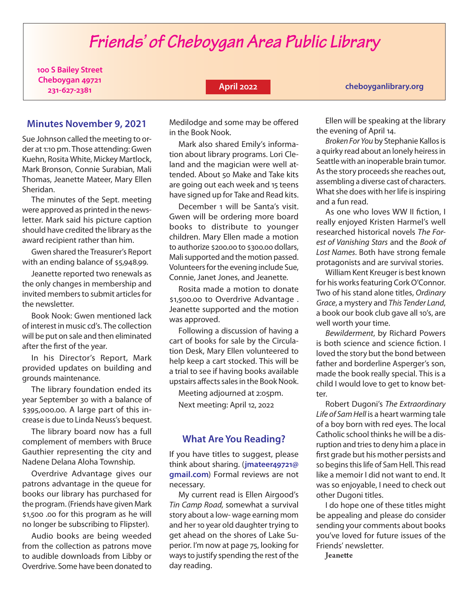# *Friends' of Cheboygan Area Public Library*

**100 S Bailey Street Cheboygan 49721 231-627-2381**

## **April 2022**

**<cheboyganlibrary.org>**

# **Minutes November 9, 2021**

Sue Johnson called the meeting to order at 1:10 pm. Those attending: Gwen Kuehn, Rosita White, Mickey Martlock, Mark Bronson, Connie Surabian, Mali Thomas, Jeanette Mateer, Mary Ellen Sheridan.

The minutes of the Sept. meeting were approved as printed in the newsletter. Mark said his picture caption should have credited the library as the award recipient rather than him.

Gwen shared the Treasurer's Report with an ending balance of \$5,948.99.

Jeanette reported two renewals as the only changes in membership and invited members to submit articles for the newsletter.

Book Nook: Gwen mentioned lack of interest in music cd's. The collection will be put on sale and then eliminated after the first of the year.

In his Director's Report, Mark provided updates on building and grounds maintenance.

The library foundation ended its year September 30 with a balance of \$395,000.00. A large part of this increase is due to Linda Neuss's bequest.

The library board now has a full complement of members with Bruce Gauthier representing the city and Nadene Delana Aloha Township.

Overdrive Advantage gives our patrons advantage in the queue for books our library has purchased for the program. (Friends have given Mark \$1,500 .00 for this program as he will no longer be subscribing to Flipster).

Audio books are being weeded from the collection as patrons move to audible downloads from Libby or Overdrive. Some have been donated to Medilodge and some may be offered in the Book Nook.

Mark also shared Emily's information about library programs. Lori Cleland and the magician were well attended. About 50 Make and Take kits are going out each week and 15 teens have signed up for Take and Read kits.

December 1 will be Santa's visit. Gwen will be ordering more board books to distribute to younger children. Mary Ellen made a motion to authorize \$200.00 to \$300.00 dollars, Mali supported and the motion passed. Volunteers for the evening include Sue, Connie, Janet Jones, and Jeanette.

Rosita made a motion to donate \$1,500.00 to Overdrive Advantage . Jeanette supported and the motion was approved.

Following a discussion of having a cart of books for sale by the Circulation Desk, Mary Ellen volunteered to help keep a cart stocked. This will be a trial to see if having books available upstairs affects sales in the Book Nook.

Meeting adjourned at 2:05pm. Next meeting: April 12, 2022

## **What Are You Reading?**

If you have titles to suggest, please think about sharing. (**jmateer49721@ gmail.com**) Formal reviews are not necessary.

My current read is Ellen Airgood's *Tin Camp Road,* somewhat a survival story about a low- wage earning mom and her 10 year old daughter trying to get ahead on the shores of Lake Superior. I'm now at page 75, looking for ways to justify spending the rest of the day reading.

Ellen will be speaking at the library the evening of April 14.

*Broken For You* by Stephanie Kallos is a quirky read about an lonely heiress in Seattle with an inoperable brain tumor. As the story proceeds she reaches out, assembling a diverse cast of characters. What she does with her life is inspiring and a fun read.

As one who loves WW II fiction, I really enjoyed Kristen Harmel's well researched historical novels *The Forest of Vanishing Stars* and the *Book of Lost Names*. Both have strong female protagonists and are survival stories.

William Kent Kreuger is best known for his works featuring Cork O'Connor. Two of his stand alone titles, *Ordinary Grace*, a mystery and *This Tender Land*, a book our book club gave all 10's, are well worth your time.

*Bewilderment*, by Richard Powers is both science and science fiction. I loved the story but the bond between father and borderline Asperger's son, made the book really special. This is a child I would love to get to know better.

Robert Dugoni's *The Extraordinary Life of Sam Hell* is a heart warming tale of a boy born with red eyes. The local Catholic school thinks he will be a disruption and tries to deny him a place in first grade but his mother persists and so begins this life of Sam Hell. This read like a memoir I did not want to end. It was so enjoyable, I need to check out other Dugoni titles.

I do hope one of these titles might be appealing and please do consider sending your comments about books you've loved for future issues of the Friends' newsletter.

Jeanette